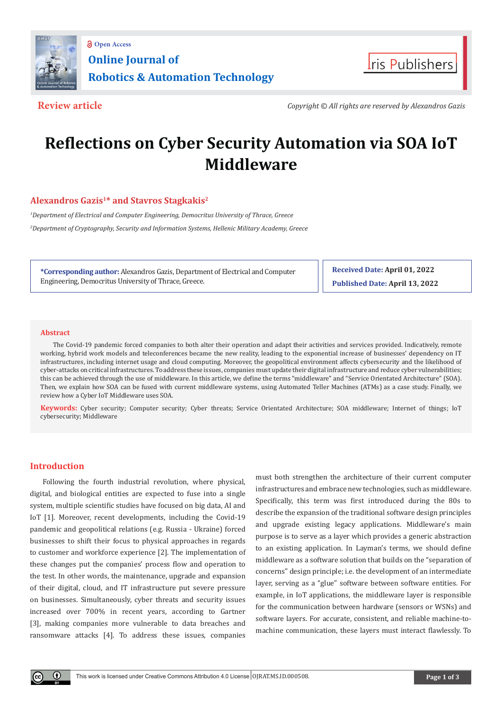



**Review article** *Copyright © All rights are reserved by Alexandros Gazis*

# **Reflections on Cyber Security Automation via SOA IoT Middleware**

## **Alexandros Gazis<sup>1</sup>\* and Stavros Stagkakis<sup>2</sup>**

*1 Department of Electrical and Computer Engineering, Democritus University of Thrace, Greece 2 Department of Cryptography, Security and Information Systems, Hellenic Military Academy, Greece*

**\*Corresponding author:** Alexandros Gazis, Department of Electrical and Computer Engineering, Democritus University of Thrace, Greece.

**Received Date: April 01, 2022 Published Date: April 13, 2022**

#### **Abstract**

The Covid-19 pandemic forced companies to both alter their operation and adapt their activities and services provided. Indicatively, remote working, hybrid work models and teleconferences became the new reality, leading to the exponential increase of businesses' dependency on IT infrastructures, including internet usage and cloud computing. Moreover, the geopolitical environment affects cybersecurity and the likelihood of cyber-attacks on critical infrastructures. To address these issues, companies must update their digital infrastructure and reduce cyber vulnerabilities; this can be achieved through the use of middleware. In this article, we define the terms "middleware" and "Service Orientated Architecture" (SOA). Then, we explain how SOA can be fused with current middleware systems, using Automated Teller Machines (ATMs) as a case study. Finally, we review how a Cyber IoT Middleware uses SOA.

**Keywords:** Cyber security; Computer security; Cyber threats; Service Orientated Architecture; SOA middleware; Internet of things; IoT cybersecurity; Middleware

#### **Introduction**

Following the fourth industrial revolution, where physical, digital, and biological entities are expected to fuse into a single system, multiple scientific studies have focused on big data, AI and IoT [1]. Moreover, recent developments, including the Covid-19 pandemic and geopolitical relations (e.g. Russia - Ukraine) forced businesses to shift their focus to physical approaches in regards to customer and workforce experience [2]. The implementation of these changes put the companies' process flow and operation to the test. In other words, the maintenance, upgrade and expansion of their digital, cloud, and IT infrastructure put severe pressure on businesses. Simultaneously, cyber threats and security issues increased over 700% in recent years, according to Gartner [3], making companies more vulnerable to data breaches and ransomware attacks [4]. To address these issues, companies

must both strengthen the architecture of their current computer infrastructures and embrace new technologies, such as middleware. Specifically, this term was first introduced during the 80s to describe the expansion of the traditional software design principles and upgrade existing legacy applications. Middleware's main purpose is to serve as a layer which provides a generic abstraction to an existing application. In Layman's terms, we should define middleware as a software solution that builds on the "separation of concerns" design principle; i.e. the development of an intermediate layer, serving as a "glue" software between software entities. For example, in IoT applications, the middleware layer is responsible for the communication between hardware (sensors or WSNs) and software layers. For accurate, consistent, and reliable machine-tomachine communication, these layers must interact flawlessly. To

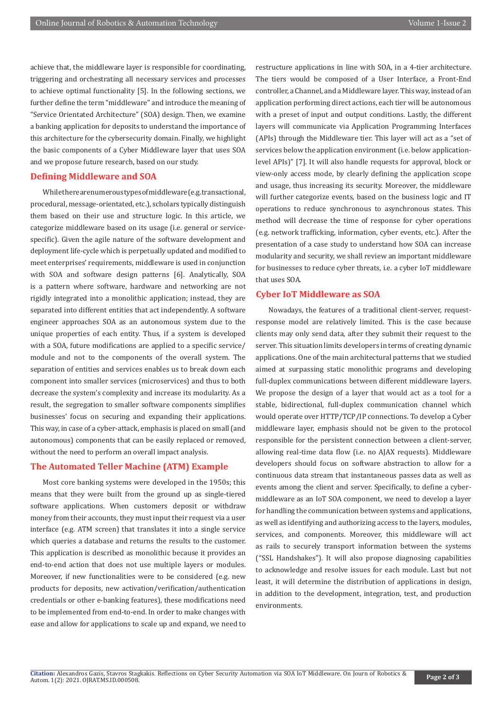achieve that, the middleware layer is responsible for coordinating, triggering and orchestrating all necessary services and processes to achieve optimal functionality [5]. In the following sections, we further define the term "middleware" and introduce the meaning of "Service Orientated Architecture" (SOA) design. Then, we examine a banking application for deposits to understand the importance of this architecture for the cybersecurity domain. Finally, we highlight the basic components of a Cyber Middleware layer that uses SOA and we propose future research, based on our study.

#### **Defining Middleware and SOA**

While there are numerous types of middleware (e.g. transactional, procedural, message-orientated, etc.), scholars typically distinguish them based on their use and structure logic. In this article, we categorize middleware based on its usage (i.e. general or servicespecific). Given the agile nature of the software development and deployment life-cycle which is perpetually updated and modified to meet enterprises' requirements, middleware is used in conjunction with SOA and software design patterns [6]. Analytically, SOA is a pattern where software, hardware and networking are not rigidly integrated into a monolithic application; instead, they are separated into different entities that act independently. A software engineer approaches SOA as an autonomous system due to the unique properties of each entity. Thus, if a system is developed with a SOA, future modifications are applied to a specific service/ module and not to the components of the overall system. The separation of entities and services enables us to break down each component into smaller services (microservices) and thus to both decrease the system's complexity and increase its modularity. As a result, the segregation to smaller software components simplifies businesses' focus on securing and expanding their applications. This way, in case of a cyber-attack, emphasis is placed on small (and autonomous) components that can be easily replaced or removed, without the need to perform an overall impact analysis.

#### **The Automated Teller Machine (ATM) Example**

Most core banking systems were developed in the 1950s; this means that they were built from the ground up as single-tiered software applications. When customers deposit or withdraw money from their accounts, they must input their request via a user interface (e.g. ATM screen) that translates it into a single service which queries a database and returns the results to the customer. This application is described as monolithic because it provides an end-to-end action that does not use multiple layers or modules. Moreover, if new functionalities were to be considered (e.g. new products for deposits, new activation/verification/authentication credentials or other e-banking features), these modifications need to be implemented from end-to-end. In order to make changes with ease and allow for applications to scale up and expand, we need to

restructure applications in line with SOA, in a 4-tier architecture. The tiers would be composed of a User Interface, a Front-End controller, a Channel, and a Middleware layer. This way, instead of an application performing direct actions, each tier will be autonomous with a preset of input and output conditions. Lastly, the different layers will communicate via Application Programming Interfaces (APIs) through the Middleware tier. This layer will act as a "set of services below the application environment (i.e. below applicationlevel APIs)" [7]. It will also handle requests for approval, block or view-only access mode, by clearly defining the application scope and usage, thus increasing its security. Moreover, the middleware will further categorize events, based on the business logic and IT operations to reduce synchronous to asynchronous states. This method will decrease the time of response for cyber operations (e.g. network trafficking, information, cyber events, etc.). After the presentation of a case study to understand how SOA can increase modularity and security, we shall review an important middleware for businesses to reduce cyber threats, i.e. a cyber IoT middleware that uses SOA.

#### **Cyber IoT Middleware as SOA**

Nowadays, the features of a traditional client-server, requestresponse model are relatively limited. This is the case because clients may only send data, after they submit their request to the server. This situation limits developers in terms of creating dynamic applications. One of the main architectural patterns that we studied aimed at surpassing static monolithic programs and developing full-duplex communications between different middleware layers. We propose the design of a layer that would act as a tool for a stable, bidirectional, full-duplex communication channel which would operate over HTTP/TCP/IP connections. To develop a Cyber middleware layer, emphasis should not be given to the protocol responsible for the persistent connection between a client-server, allowing real-time data flow (i.e. no AJAX requests). Middleware developers should focus on software abstraction to allow for a continuous data stream that instantaneous passes data as well as events among the client and server. Specifically, to define a cybermiddleware as an IoT SOA component, we need to develop a layer for handling the communication between systems and applications, as well as identifying and authorizing access to the layers, modules, services, and components. Moreover, this middleware will act as rails to securely transport information between the systems ("SSL Handshakes"). It will also propose diagnosing capabilities to acknowledge and resolve issues for each module. Last but not least, it will determine the distribution of applications in design, in addition to the development, integration, test, and production environments.